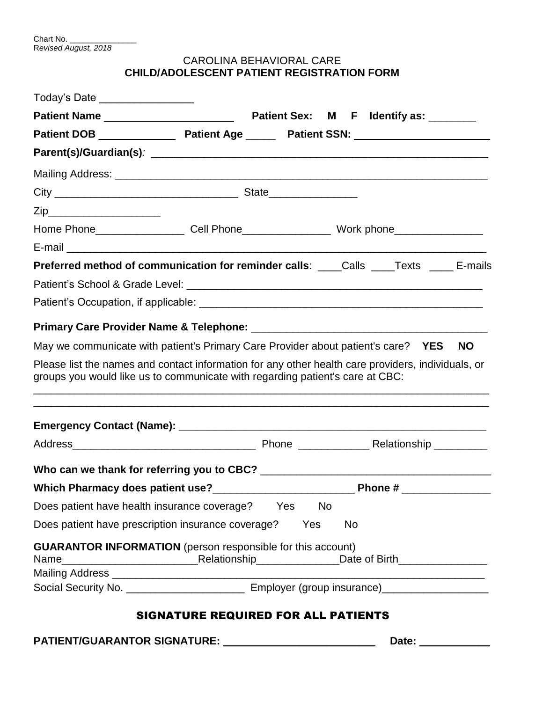# CAROLINA BEHAVIORAL CARE **CHILD/ADOLESCENT PATIENT REGISTRATION FORM**

|                                                                                                                                                                                     |                                            |           | Date: __________ |           |
|-------------------------------------------------------------------------------------------------------------------------------------------------------------------------------------|--------------------------------------------|-----------|------------------|-----------|
|                                                                                                                                                                                     | <b>SIGNATURE REQUIRED FOR ALL PATIENTS</b> |           |                  |           |
|                                                                                                                                                                                     |                                            |           |                  |           |
|                                                                                                                                                                                     |                                            |           |                  |           |
| <b>GUARANTOR INFORMATION</b> (person responsible for this account)                                                                                                                  |                                            |           |                  |           |
| Does patient have prescription insurance coverage? Yes                                                                                                                              |                                            | <b>No</b> |                  |           |
| Does patient have health insurance coverage? Yes No                                                                                                                                 |                                            |           |                  |           |
|                                                                                                                                                                                     |                                            |           |                  |           |
|                                                                                                                                                                                     |                                            |           |                  |           |
|                                                                                                                                                                                     |                                            |           |                  |           |
|                                                                                                                                                                                     |                                            |           |                  |           |
| Please list the names and contact information for any other health care providers, individuals, or<br>groups you would like us to communicate with regarding patient's care at CBC: |                                            |           |                  |           |
| May we communicate with patient's Primary Care Provider about patient's care? YES                                                                                                   |                                            |           |                  | <b>NO</b> |
|                                                                                                                                                                                     |                                            |           |                  |           |
|                                                                                                                                                                                     |                                            |           |                  |           |
|                                                                                                                                                                                     |                                            |           |                  |           |
| Preferred method of communication for reminder calls: ____Calls ____Texts _____E-mails                                                                                              |                                            |           |                  |           |
|                                                                                                                                                                                     |                                            |           |                  |           |
| Home Phone_____________________Cell Phone_________________________Work phone_______________________                                                                                 |                                            |           |                  |           |
| Zip_______________________                                                                                                                                                          |                                            |           |                  |           |
|                                                                                                                                                                                     |                                            |           |                  |           |
|                                                                                                                                                                                     |                                            |           |                  |           |
|                                                                                                                                                                                     |                                            |           |                  |           |
|                                                                                                                                                                                     |                                            |           |                  |           |
|                                                                                                                                                                                     |                                            |           |                  |           |
| Today's Date __________________                                                                                                                                                     |                                            |           |                  |           |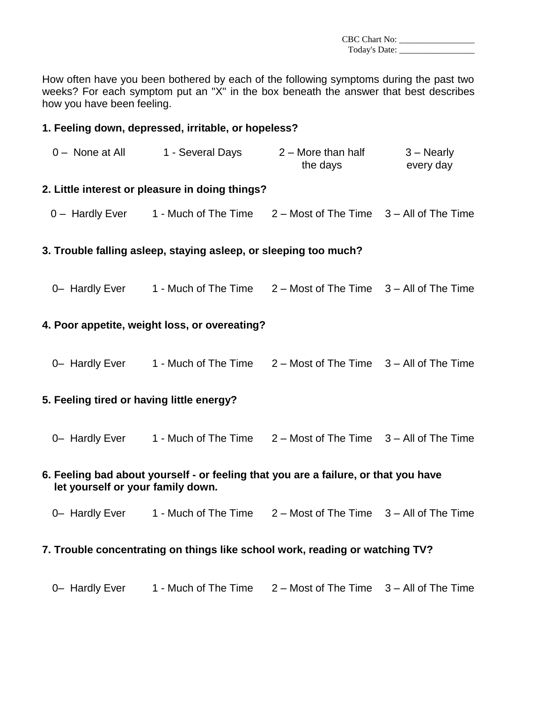CBC Chart No: Today's Date:

How often have you been bothered by each of the following symptoms during the past two weeks? For each symptom put an "X" in the box beneath the answer that best describes how you have been feeling.

#### **1. Feeling down, depressed, irritable, or hopeless?**

| 0 - None at All | 1 - Several Days | $2 -$ More than half | $3 -$ Nearly |
|-----------------|------------------|----------------------|--------------|
|                 |                  | the days             | every day    |

#### **2. Little interest or pleasure in doing things?**

0 – Hardly Ever 1 - Much of The Time 2 – Most of The Time 3 – All of The Time

#### **3. Trouble falling asleep, staying asleep, or sleeping too much?**

0– Hardly Ever 1 - Much of The Time 2 – Most of The Time 3 – All of The Time

#### **4. Poor appetite, weight loss, or overeating?**

0– Hardly Ever 1 - Much of The Time 2 – Most of The Time 3 – All of The Time

#### **5. Feeling tired or having little energy?**

0– Hardly Ever 1 - Much of The Time 2 – Most of The Time 3 – All of The Time

#### **6. Feeling bad about yourself - or feeling that you are a failure, or that you have let yourself or your family down.**

0– Hardly Ever 1 - Much of The Time 2 – Most of The Time 3 – All of The Time

#### **7. Trouble concentrating on things like school work, reading or watching TV?**

0– Hardly Ever 1 - Much of The Time 2 – Most of The Time 3 – All of The Time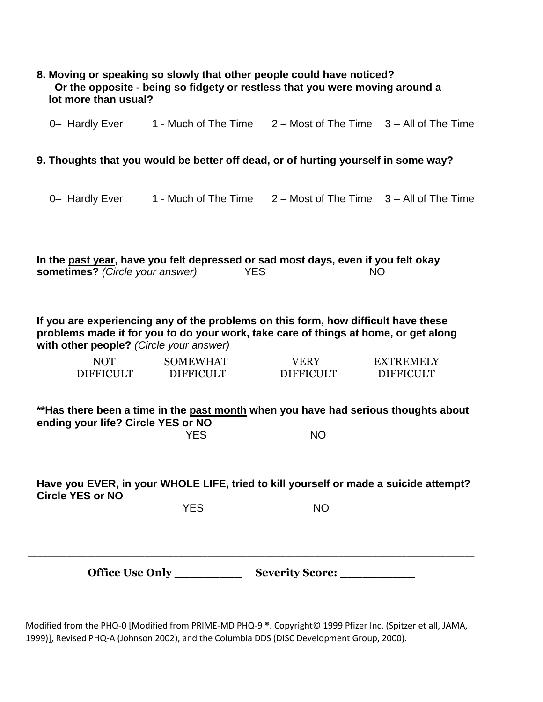| lot more than usual?                    | 8. Moving or speaking so slowly that other people could have noticed?<br>Or the opposite - being so fidgety or restless that you were moving around a                     |                                                                   |                                      |
|-----------------------------------------|---------------------------------------------------------------------------------------------------------------------------------------------------------------------------|-------------------------------------------------------------------|--------------------------------------|
| 0- Hardly Ever                          |                                                                                                                                                                           | 1 - Much of The Time $2 -$ Most of The Time $3 -$ All of The Time |                                      |
|                                         | 9. Thoughts that you would be better off dead, or of hurting yourself in some way?                                                                                        |                                                                   |                                      |
| 0- Hardly Ever                          | 1 - Much of The Time                                                                                                                                                      | $2 -$ Most of The Time $3 -$ All of The Time                      |                                      |
| sometimes? (Circle your answer)         | In the past year, have you felt depressed or sad most days, even if you felt okay<br><b>YES</b>                                                                           |                                                                   | <b>NO</b>                            |
| with other people? (Circle your answer) | If you are experiencing any of the problems on this form, how difficult have these<br>problems made it for you to do your work, take care of things at home, or get along |                                                                   |                                      |
| <b>NOT</b><br><b>DIFFICULT</b>          | <b>SOMEWHAT</b><br><b>DIFFICULT</b>                                                                                                                                       | <b>VERY</b><br><b>DIFFICULT</b>                                   | <b>EXTREMELY</b><br><b>DIFFICULT</b> |
| ending your life? Circle YES or NO      | **Has there been a time in the past month when you have had serious thoughts about<br><b>YES</b>                                                                          | <b>NO</b>                                                         |                                      |
| <b>Circle YES or NO</b>                 | Have you EVER, in your WHOLE LIFE, tried to kill yourself or made a suicide attempt?                                                                                      |                                                                   |                                      |
|                                         | <b>YES</b>                                                                                                                                                                | <b>NO</b>                                                         |                                      |
|                                         | Office Use Only _____________                                                                                                                                             | Severity Score: ____________                                      |                                      |

Modified from the PHQ-0 [Modified from PRIME-MD PHQ-9 ®. Copyright© 1999 Pfizer Inc. (Spitzer et all, JAMA, 1999)], Revised PHQ-A (Johnson 2002), and the Columbia DDS (DISC Development Group, 2000).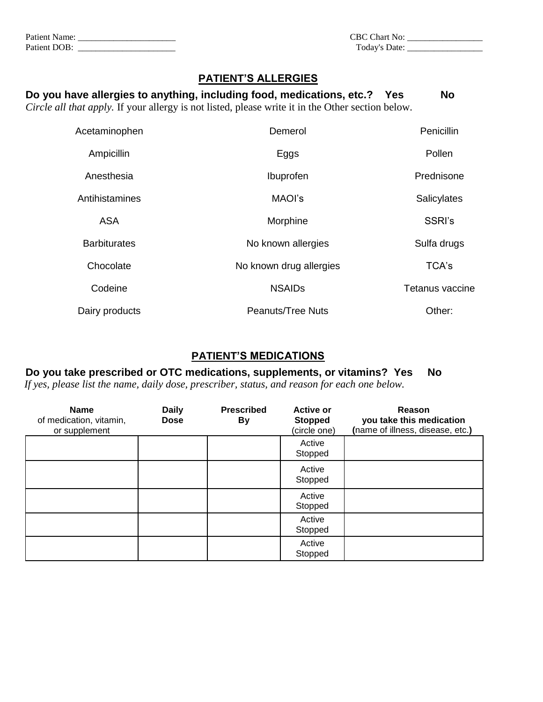| Patient<br>Name:<br>_______ | CBC-<br>${\rm Chart}$<br>$\pm$ No: |  |
|-----------------------------|------------------------------------|--|
| Patient DOB:                | m.<br>Date:<br>'oday's<br>.        |  |

| CBC Chart No: |  |
|---------------|--|
| Today's Date: |  |

### **PATIENT'S ALLERGIES**

# **Do you have allergies to anything, including food, medications, etc.? Yes No** *Circle all that apply.* If your allergy is not listed, please write it in the Other section below. Acetaminophen Demerol Demerol Penicillin Ampicillin **Eggs** Pollen Anesthesia **Ibuprofen** Prednisone Antihistamines **MAOI's** MAOI's Salicylates ASA SSRI's Morphine Barbiturates **No known allergies** Sulfa drugs Sulfa drugs Chocolate No known drug allergies TCA's **Codeine NSAIDs NSAIDs Tetanus vaccine** Dairy products **Peanuts/Tree Nuts** Peanuts/Tree Nuts **Other:**

## **PATIENT'S MEDICATIONS**

# **Do you take prescribed or OTC medications, supplements, or vitamins? Yes No**

*If yes, please list the name, daily dose, prescriber, status, and reason for each one below.*

| <b>Name</b><br>of medication, vitamin,<br>or supplement | <b>Daily</b><br><b>Dose</b> | <b>Prescribed</b><br><b>By</b> | <b>Active or</b><br><b>Stopped</b><br>(circle one) | Reason<br>you take this medication<br>(name of illness, disease, etc.) |
|---------------------------------------------------------|-----------------------------|--------------------------------|----------------------------------------------------|------------------------------------------------------------------------|
|                                                         |                             |                                | Active<br>Stopped                                  |                                                                        |
|                                                         |                             |                                | Active<br>Stopped                                  |                                                                        |
|                                                         |                             |                                | Active<br>Stopped                                  |                                                                        |
|                                                         |                             |                                | Active<br>Stopped                                  |                                                                        |
|                                                         |                             |                                | Active<br>Stopped                                  |                                                                        |